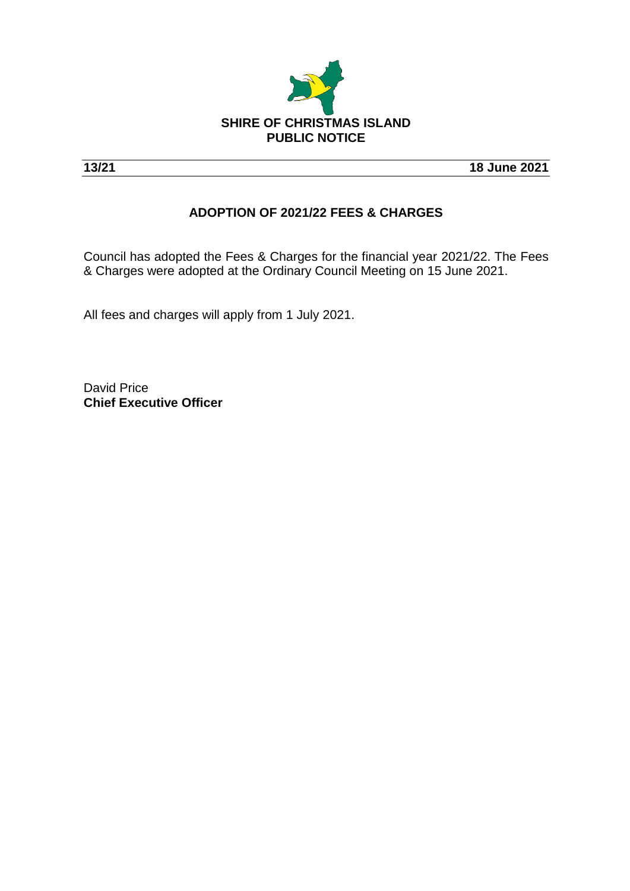

**13/21 18 June 2021**

## **ADOPTION OF 2021/22 FEES & CHARGES**

Council has adopted the Fees & Charges for the financial year 2021/22. The Fees & Charges were adopted at the Ordinary Council Meeting on 15 June 2021.

All fees and charges will apply from 1 July 2021.

David Price **Chief Executive Officer**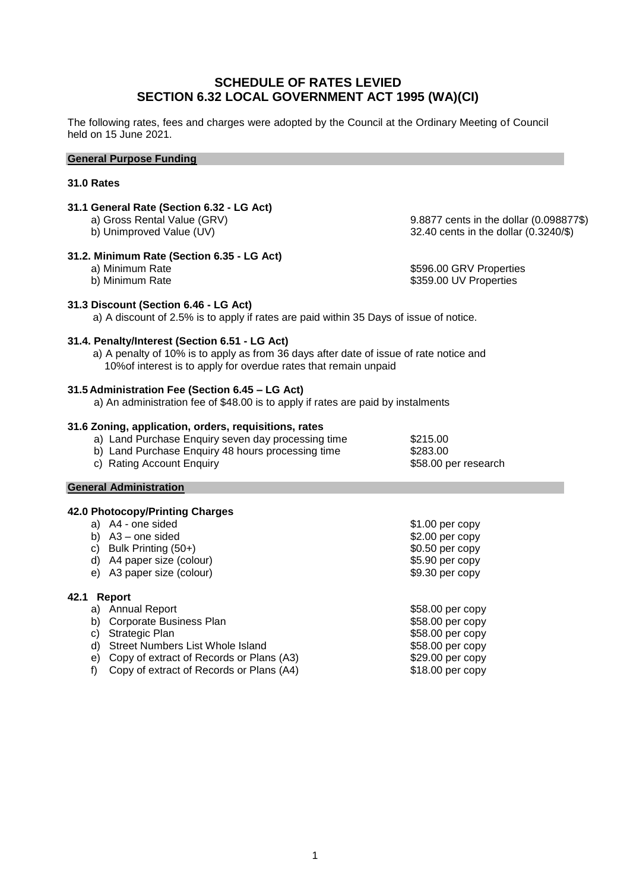## **SCHEDULE OF RATES LEVIED SECTION 6.32 LOCAL GOVERNMENT ACT 1995 (WA)(CI)**

The following rates, fees and charges were adopted by the Council at the Ordinary Meeting of Council held on 15 June 2021.

### **General Purpose Funding**

## **31.0 Rates**

# **31.1 General Rate (Section 6.32 - LG Act)**

# **31.2. Minimum Rate (Section 6.35 - LG Act)**

a) Gross Rental Value (GRV) 8.8877 cents in the dollar (0.098877\$)<br>b) Unimproved Value (UV) 92.40 cents in the dollar (0.3240/\$)  $32.40$  cents in the dollar (0.3240/\$)

a) Minimum Rate **big and the set of the set of the set of the set of the set of the set of the set of the set o<br>
\$596.00 GRV Properties<br>
\$359.00 UV Properties** \$359.00 UV Properties

# **31.3 Discount (Section 6.46 - LG Act)**

a) A discount of 2.5% is to apply if rates are paid within 35 Days of issue of notice.

## **31.4. Penalty/Interest (Section 6.51 - LG Act)**

a) A penalty of 10% is to apply as from 36 days after date of issue of rate notice and 10%of interest is to apply for overdue rates that remain unpaid

## **31.5 Administration Fee (Section 6.45 – LG Act)**

a) An administration fee of \$48.00 is to apply if rates are paid by instalments

## **31.6 Zoning, application, orders, requisitions, rates**

a) Land Purchase Enquiry seven day processing time \$215.00

- b) Land Purchase Enquiry 48 hours processing time \$283.00
- c) Rating Account Enquiry **but a strategier of the Strategier Strategier Strategier Strategier Strategier Strategier Strategier Strategier Strategier Strategier Strategier Strategier Strategier Strategier Strategier Strate**

## **General Administration**

## **42.0 Photocopy/Printing Charges**

|      | a) A4 - one sided         | $$1.00$ per copy |
|------|---------------------------|------------------|
| b).  | A3 – one sided            | $$2.00$ per copy |
|      | c) Bulk Printing (50+)    | $$0.50$ per copy |
|      | d) A4 paper size (colour) | $$5.90$ per copy |
|      | e) A3 paper size (colour) | $$9.30$ per copy |
| 42.1 | Report                    |                  |
| a)   | <b>Annual Report</b>      | \$58.00 per copy |
| b)   | Corporate Business Plan   | \$58.00 per copy |

c) Strategic Plan \$58.00 per copy d) Street Numbers List Whole Island  $$58.00$  per copy

e) Copy of extract of Records or Plans (A3)  $$29.00$  per copy f) Copy of extract of Records or Plans (A4)  $$18.00$  per copy f) Copy of extract of Records or Plans  $(A4)$ 

1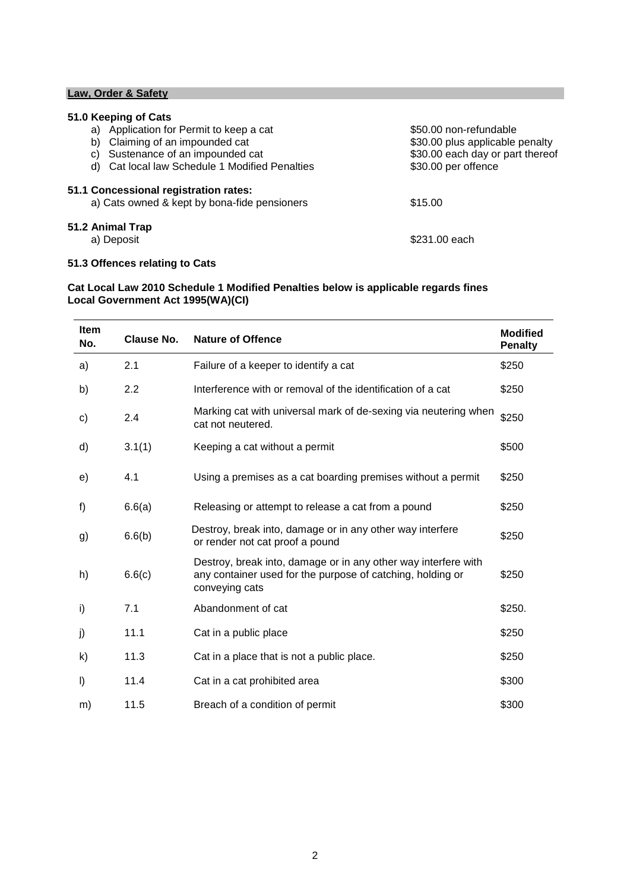## **Law, Order & Safety**

## **51.0 Keeping of Cats**

| Application for Permit to keep a cat<br>a)                                            | \$50.00 non-refundable           |
|---------------------------------------------------------------------------------------|----------------------------------|
| Claiming of an impounded cat<br>b)                                                    | \$30.00 plus applicable penalty  |
| Sustenance of an impounded cat<br>C)                                                  | \$30.00 each day or part thereof |
| d) Cat local law Schedule 1 Modified Penalties                                        | \$30.00 per offence              |
| 51.1 Concessional registration rates:<br>a) Cats owned & kept by bona-fide pensioners | \$15.00                          |
| 51.2 Animal Trap                                                                      |                                  |
| a) Deposit                                                                            | \$231.00 each                    |

## **51.3 Offences relating to Cats**

## **Cat Local Law 2010 Schedule 1 Modified Penalties below is applicable regards fines Local Government Act 1995(WA)(CI)**

| <b>Item</b><br>No. | <b>Clause No.</b> | <b>Nature of Offence</b>                                                                                                                       | <b>Modified</b><br><b>Penalty</b> |
|--------------------|-------------------|------------------------------------------------------------------------------------------------------------------------------------------------|-----------------------------------|
| a)                 | 2.1               | Failure of a keeper to identify a cat                                                                                                          | \$250                             |
| b)                 | 2.2               | Interference with or removal of the identification of a cat                                                                                    | \$250                             |
| c)                 | 2.4               | Marking cat with universal mark of de-sexing via neutering when<br>cat not neutered.                                                           | \$250                             |
| d)                 | 3.1(1)            | Keeping a cat without a permit                                                                                                                 | \$500                             |
| e)                 | 4.1               | Using a premises as a cat boarding premises without a permit                                                                                   | \$250                             |
| f)                 | 6.6(a)            | Releasing or attempt to release a cat from a pound                                                                                             | \$250                             |
| g)                 | 6.6(b)            | Destroy, break into, damage or in any other way interfere<br>or render not cat proof a pound                                                   | \$250                             |
| h)                 | 6.6(c)            | Destroy, break into, damage or in any other way interfere with<br>any container used for the purpose of catching, holding or<br>conveying cats | \$250                             |
| i)                 | 7.1               | Abandonment of cat                                                                                                                             | \$250.                            |
| j)                 | 11.1              | Cat in a public place                                                                                                                          | \$250                             |
| k)                 | 11.3              | Cat in a place that is not a public place.                                                                                                     | \$250                             |
| $\vert$            | 11.4              | Cat in a cat prohibited area                                                                                                                   | \$300                             |
| m)                 | 11.5              | Breach of a condition of permit                                                                                                                | \$300                             |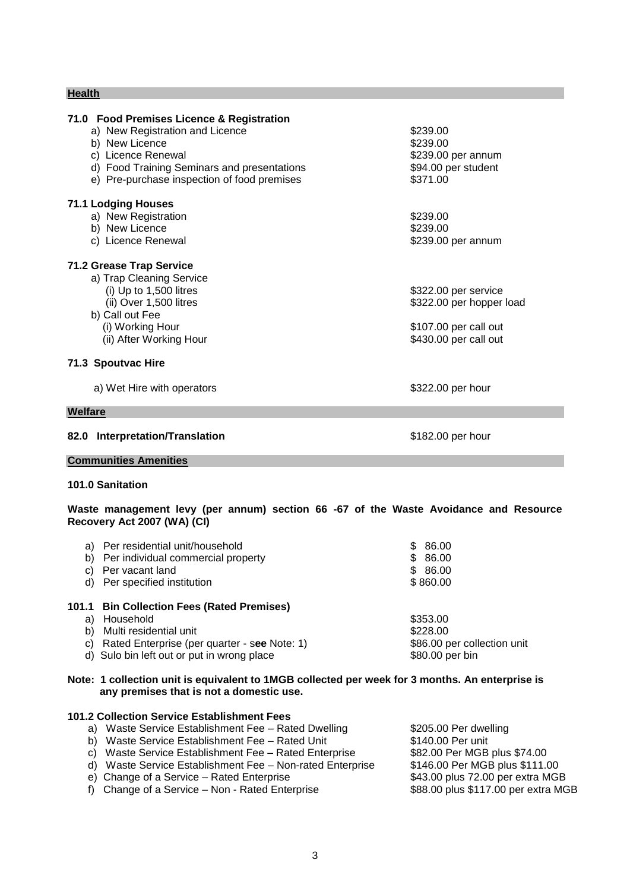## **Health**

| 71.0 Food Premises Licence & Registration   |                          |
|---------------------------------------------|--------------------------|
| a) New Registration and Licence             | \$239.00                 |
| b) New Licence                              | \$239.00                 |
| c) Licence Renewal                          | \$239.00 per annum       |
| d) Food Training Seminars and presentations | \$94.00 per student      |
| e) Pre-purchase inspection of food premises | \$371.00                 |
| <b>71.1 Lodging Houses</b>                  |                          |
| a) New Registration                         | \$239.00                 |
| b) New Licence                              | \$239.00                 |
| c) Licence Renewal                          | \$239.00 per annum       |
| <b>71.2 Grease Trap Service</b>             |                          |
| a) Trap Cleaning Service                    |                          |
| (i) Up to 1,500 litres                      | \$322.00 per service     |
| (ii) Over 1,500 litres                      | \$322.00 per hopper load |
| b) Call out Fee                             |                          |
| (i) Working Hour                            | \$107.00 per call out    |
| (ii) After Working Hour                     | \$430.00 per call out    |
| 71.3 Spoutvac Hire                          |                          |
| a) Wet Hire with operators                  | \$322.00 per hour        |
| Welfare                                     |                          |
| 82.0 Interpretation/Translation             | \$182.00 per hour        |
| <b>Communities Amenities</b>                |                          |
| 101.0 Sanitation                            |                          |
|                                             |                          |
|                                             |                          |

**Waste management levy (per annum) section 66 -67 of the Waste Avoidance and Resource Recovery Act 2007 (WA) (CI)**

| a)<br>b)<br>d) | Per residential unit/household<br>Per individual commercial property<br>Per vacant land<br>Per specified institution                                                            | 86.00<br>SS.<br>\$86.00<br>\$86.00<br>\$860.00                         |
|----------------|---------------------------------------------------------------------------------------------------------------------------------------------------------------------------------|------------------------------------------------------------------------|
| a)<br>b)<br>C) | 101.1 Bin Collection Fees (Rated Premises)<br>Household<br>Multi residential unit<br>Rated Enterprise (per quarter - see Note: 1)<br>d) Sulo bin left out or put in wrong place | \$353.00<br>\$228.00<br>\$86.00 per collection unit<br>\$80.00 per bin |

## **Note: 1 collection unit is equivalent to 1MGB collected per week for 3 months. An enterprise is any premises that is not a domestic use.**

## **101.2 Collection Service Establishment Fees** a) Waste Service Establishment Fee – Rated Dwelling \$205.00 Per dwelling<br>b) Waste Service Establishment Fee – Rated Unit \$140.00 Per unit b) Waste Service Establishment Fee – Rated Unit  $\begin{array}{r} \text{``$ $140.00 Per unit} \\ \text{``$c$)} \text{``} \text{Waste Service Establishment Free} - \text{Rateed Enterprise} \\ \text{``} \text{``$82.00 Per MGB plus $74.00} \end{array}$ c) Waste Service Establishment Fee – Rated Enterprise \$82.00 Per MGB plus \$74.00<br>d) Waste Service Establishment Fee – Non-rated Enterprise \$146.00 Per MGB plus \$111.00 d) Waste Service Establishment Fee - Non-rated Enterprise e) Change of a Service – Rated Enterprise \$43.00 plus 72.00 per extra MGB f) Change of a Service – Non - Rated Enterprise **\$88.00 plus \$117.00 per extra MGB**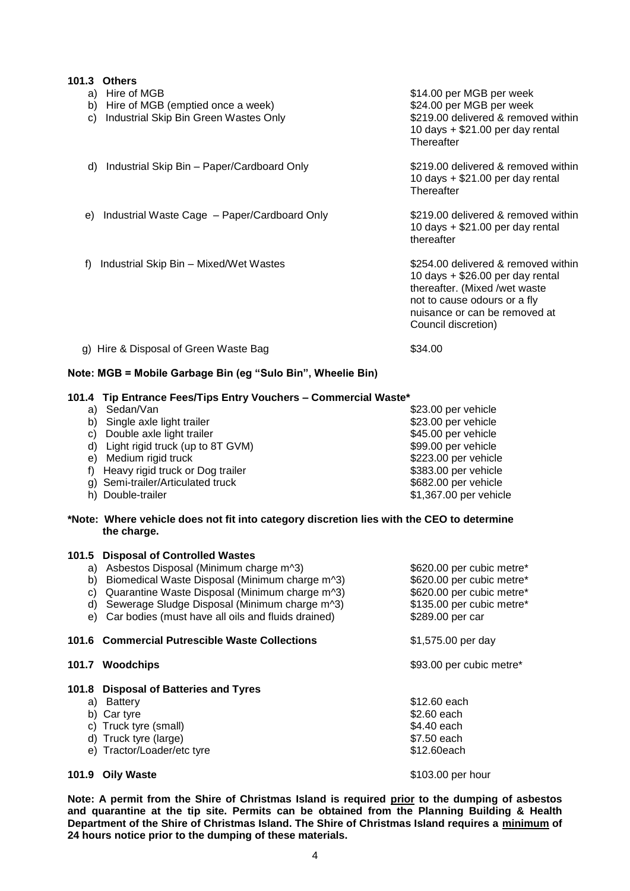| 101.3<br><b>Others</b>                                                                                   |                                                                                                                                                                                                    |
|----------------------------------------------------------------------------------------------------------|----------------------------------------------------------------------------------------------------------------------------------------------------------------------------------------------------|
| Hire of MGB<br>a)<br>b) Hire of MGB (emptied once a week)<br>Industrial Skip Bin Green Wastes Only<br>C) | \$14.00 per MGB per week<br>\$24.00 per MGB per week<br>\$219.00 delivered & removed within<br>10 days $+$ \$21.00 per day rental<br>Thereafter                                                    |
| Industrial Skip Bin – Paper/Cardboard Only<br>d)                                                         | \$219,00 delivered & removed within<br>10 days $+$ \$21.00 per day rental<br>Thereafter                                                                                                            |
| Industrial Waste Cage - Paper/Cardboard Only<br>e)                                                       | \$219,00 delivered & removed within<br>10 days $+$ \$21.00 per day rental<br>thereafter                                                                                                            |
| Industrial Skip Bin - Mixed/Wet Wastes<br>f)                                                             | \$254,00 delivered & removed within<br>10 days $+$ \$26.00 per day rental<br>thereafter. (Mixed /wet waste<br>not to cause odours or a fly<br>nuisance or can be removed at<br>Council discretion) |
| Hire & Disposal of Green Waste Bag<br>g)                                                                 | \$34.00                                                                                                                                                                                            |

## **Note: MGB = Mobile Garbage Bin (eg "Sulo Bin", Wheelie Bin)**

#### **101.4 Tip Entrance Fees/Tips Entry Vouchers – Commercial Waste\***

| C)<br>f)    | a) Sedan/Van<br>b) Single axle light trailer<br>Double axle light trailer<br>d) Light rigid truck (up to 8T GVM)<br>e) Medium rigid truck<br>Heavy rigid truck or Dog trailer<br>g) Semi-trailer/Articulated truck<br>h) Double-trailer                                                               | \$23.00 per vehicle<br>\$23.00 per vehicle<br>\$45.00 per vehicle<br>\$99.00 per vehicle<br>\$223.00 per vehicle<br>\$383.00 per vehicle<br>\$682.00 per vehicle<br>\$1,367.00 per vehicle |
|-------------|-------------------------------------------------------------------------------------------------------------------------------------------------------------------------------------------------------------------------------------------------------------------------------------------------------|--------------------------------------------------------------------------------------------------------------------------------------------------------------------------------------------|
|             | *Note: Where vehicle does not fit into category discretion lies with the CEO to determine<br>the charge.                                                                                                                                                                                              |                                                                                                                                                                                            |
| 101.5<br>e) | <b>Disposal of Controlled Wastes</b><br>a) Asbestos Disposal (Minimum charge m^3)<br>b) Biomedical Waste Disposal (Minimum charge m^3)<br>c) Quarantine Waste Disposal (Minimum charge m^3)<br>d) Sewerage Sludge Disposal (Minimum charge m^3)<br>Car bodies (must have all oils and fluids drained) | \$620.00 per cubic metre*<br>\$620.00 per cubic metre*<br>\$620.00 per cubic metre*<br>\$135.00 per cubic metre*<br>\$289.00 per car                                                       |
|             | 101.6 Commercial Putrescible Waste Collections                                                                                                                                                                                                                                                        | \$1,575.00 per day                                                                                                                                                                         |
|             | 101.7 Woodchips                                                                                                                                                                                                                                                                                       | \$93.00 per cubic metre*                                                                                                                                                                   |
|             | 101.8 Disposal of Batteries and Tyres<br>a) Battery<br>b) Car tyre<br>c) Truck tyre (small)<br>d) Truck tyre (large)<br>e) Tractor/Loader/etc tyre                                                                                                                                                    | \$12.60 each<br>\$2.60 each<br>\$4.40 each<br>\$7.50 each<br>\$12.60each                                                                                                                   |
| 101.9       | <b>Oily Waste</b>                                                                                                                                                                                                                                                                                     | \$103.00 per hour                                                                                                                                                                          |

**Note: A permit from the Shire of Christmas Island is required prior to the dumping of asbestos and quarantine at the tip site. Permits can be obtained from the Planning Building & Health Department of the Shire of Christmas Island. The Shire of Christmas Island requires a minimum of 24 hours notice prior to the dumping of these materials.**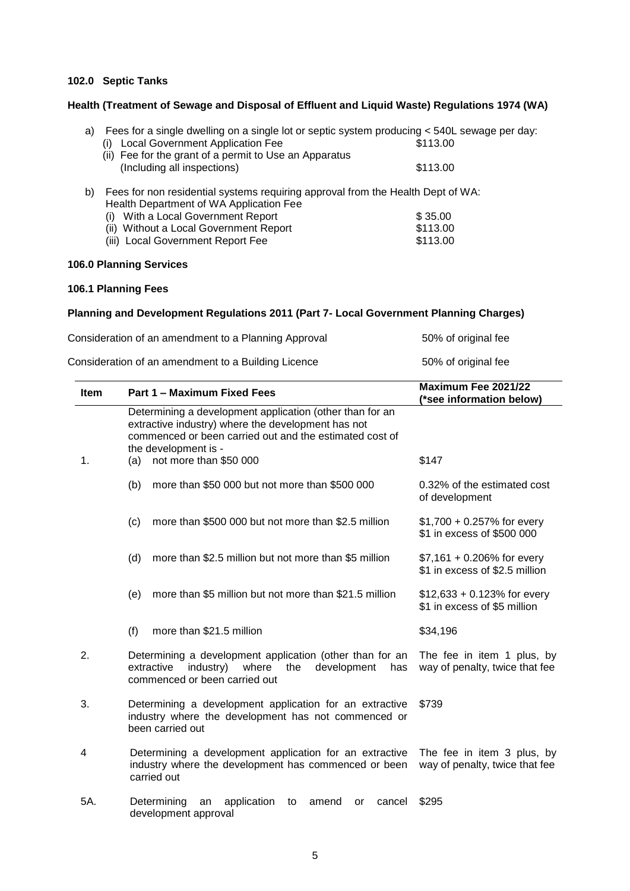## **102.0 Septic Tanks**

## **Health (Treatment of Sewage and Disposal of Effluent and Liquid Waste) Regulations 1974 (WA)**

| a) | Fees for a single dwelling on a single lot or septic system producing < 540L sewage per day: |          |
|----|----------------------------------------------------------------------------------------------|----------|
|    | <b>Local Government Application Fee</b>                                                      | \$113.00 |
|    | (ii) Fee for the grant of a permit to Use an Apparatus                                       |          |
|    | (Including all inspections)                                                                  | \$113.00 |
| b) | Fees for non residential systems requiring approval from the Health Dept of WA:              |          |
|    | Health Department of WA Application Fee                                                      |          |
|    |                                                                                              | $\wedge$ |

| (i) With a Local Government Report     | \$35.00  |
|----------------------------------------|----------|
| (ii) Without a Local Government Report | \$113.00 |
| (iii) Local Government Report Fee      | \$113.00 |

## **106.0 Planning Services**

## **106.1 Planning Fees**

## **Planning and Development Regulations 2011 (Part 7- Local Government Planning Charges)**

| Consideration of an amendment to a Planning Approval | 50% of original fee |
|------------------------------------------------------|---------------------|
| Consideration of an amendment to a Building Licence  | 50% of original fee |

| <b>Item</b> | Part 1 - Maximum Fixed Fees                                                                                                                                                                       | Maximum Fee 2021/22<br>(*see information below)                |
|-------------|---------------------------------------------------------------------------------------------------------------------------------------------------------------------------------------------------|----------------------------------------------------------------|
|             | Determining a development application (other than for an<br>extractive industry) where the development has not<br>commenced or been carried out and the estimated cost of<br>the development is - |                                                                |
| 1.          | (a) not more than $$50,000$                                                                                                                                                                       | \$147                                                          |
|             | (b)<br>more than \$50,000 but not more than \$500,000                                                                                                                                             | 0.32% of the estimated cost<br>of development                  |
|             | more than \$500 000 but not more than \$2.5 million<br>(c)                                                                                                                                        | $$1,700 + 0.257\%$ for every<br>\$1 in excess of \$500 000     |
|             | (d)<br>more than \$2.5 million but not more than \$5 million                                                                                                                                      | $$7,161 + 0.206\%$ for every<br>\$1 in excess of \$2.5 million |
|             | more than \$5 million but not more than \$21.5 million<br>(e)                                                                                                                                     | $$12,633 + 0.123\%$ for every<br>\$1 in excess of \$5 million  |
|             | more than \$21.5 million<br>(f)                                                                                                                                                                   | \$34,196                                                       |
| 2.          | Determining a development application (other than for an<br>extractive<br>development<br>industry)<br>where<br>the<br>has<br>commenced or been carried out                                        | The fee in item 1 plus, by<br>way of penalty, twice that fee   |
| 3.          | Determining a development application for an extractive<br>industry where the development has not commenced or<br>been carried out                                                                | \$739                                                          |
| 4           | Determining a development application for an extractive<br>industry where the development has commenced or been<br>carried out                                                                    | The fee in item 3 plus, by<br>way of penalty, twice that fee   |
| 5A.         | Determining<br>application<br>an<br>amend<br>cancel<br>to<br>or<br>development approval                                                                                                           | \$295                                                          |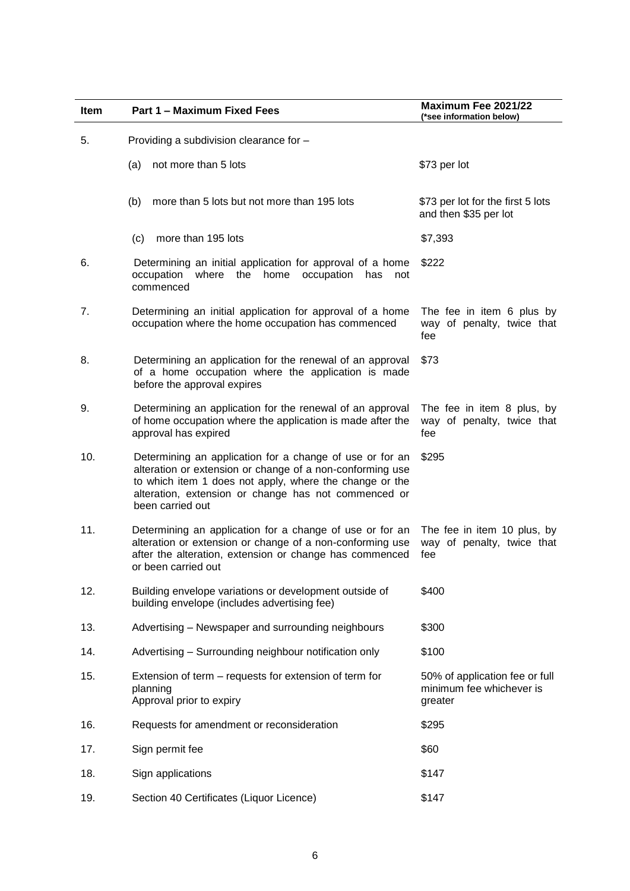| <b>Item</b> | Part 1 - Maximum Fixed Fees                                                                                                                                                                                                                                  | Maximum Fee 2021/22<br>(*see information below)                       |
|-------------|--------------------------------------------------------------------------------------------------------------------------------------------------------------------------------------------------------------------------------------------------------------|-----------------------------------------------------------------------|
| 5.          | Providing a subdivision clearance for -                                                                                                                                                                                                                      |                                                                       |
|             | not more than 5 lots<br>(a)                                                                                                                                                                                                                                  | \$73 per lot                                                          |
|             | more than 5 lots but not more than 195 lots<br>(b)                                                                                                                                                                                                           | \$73 per lot for the first 5 lots<br>and then \$35 per lot            |
|             | more than 195 lots<br>(c)                                                                                                                                                                                                                                    | \$7,393                                                               |
| 6.          | Determining an initial application for approval of a home<br>occupation<br>where<br>the<br>home<br>occupation<br>has<br>not<br>commenced                                                                                                                     | \$222                                                                 |
| 7.          | Determining an initial application for approval of a home<br>occupation where the home occupation has commenced                                                                                                                                              | The fee in item 6 plus by<br>way of penalty, twice that<br>fee        |
| 8.          | Determining an application for the renewal of an approval<br>of a home occupation where the application is made<br>before the approval expires                                                                                                               | \$73                                                                  |
| 9.          | Determining an application for the renewal of an approval<br>of home occupation where the application is made after the<br>approval has expired                                                                                                              | The fee in item 8 plus, by<br>way of penalty, twice that<br>fee       |
| 10.         | Determining an application for a change of use or for an<br>alteration or extension or change of a non-conforming use<br>to which item 1 does not apply, where the change or the<br>alteration, extension or change has not commenced or<br>been carried out | \$295                                                                 |
| 11.         | Determining an application for a change of use or for an<br>alteration or extension or change of a non-conforming use<br>after the alteration, extension or change has commenced<br>or been carried out                                                      | The fee in item 10 plus, by<br>way of penalty, twice that<br>fee      |
| 12.         | Building envelope variations or development outside of<br>building envelope (includes advertising fee)                                                                                                                                                       | \$400                                                                 |
| 13.         | Advertising - Newspaper and surrounding neighbours                                                                                                                                                                                                           | \$300                                                                 |
| 14.         | Advertising - Surrounding neighbour notification only                                                                                                                                                                                                        | \$100                                                                 |
| 15.         | Extension of term – requests for extension of term for<br>planning<br>Approval prior to expiry                                                                                                                                                               | 50% of application fee or full<br>minimum fee whichever is<br>greater |
| 16.         | Requests for amendment or reconsideration                                                                                                                                                                                                                    | \$295                                                                 |
| 17.         | Sign permit fee                                                                                                                                                                                                                                              | \$60                                                                  |
| 18.         | Sign applications                                                                                                                                                                                                                                            | \$147                                                                 |
| 19.         | Section 40 Certificates (Liquor Licence)                                                                                                                                                                                                                     | \$147                                                                 |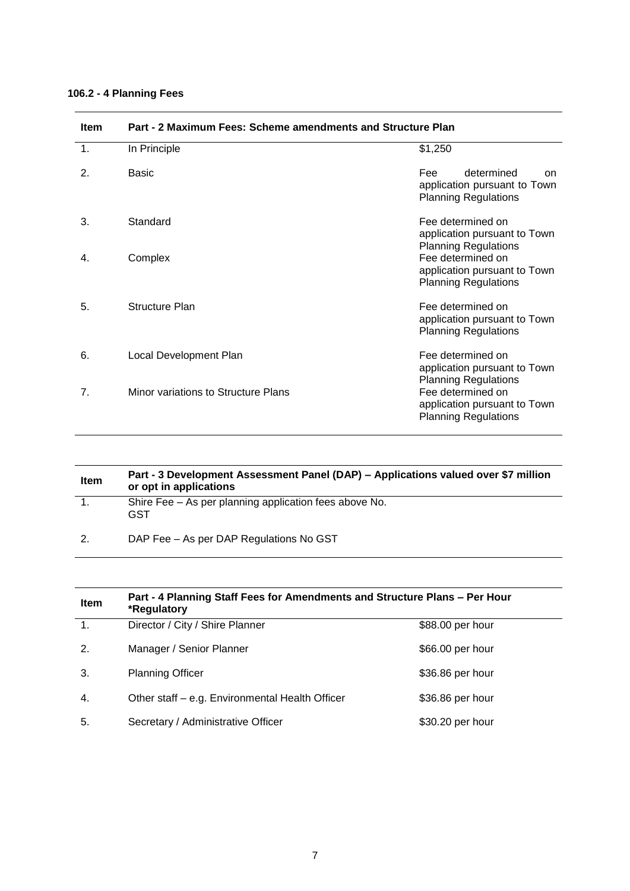## **106.2 - 4 Planning Fees**

| <b>Item</b>    | Part - 2 Maximum Fees: Scheme amendments and Structure Plan |                                                                                        |  |
|----------------|-------------------------------------------------------------|----------------------------------------------------------------------------------------|--|
| $\mathbf{1}$ . | In Principle                                                | \$1,250                                                                                |  |
| 2.             | <b>Basic</b>                                                | determined<br>Fee<br>on<br>application pursuant to Town<br><b>Planning Regulations</b> |  |
| 3.             | Standard                                                    | Fee determined on<br>application pursuant to Town<br><b>Planning Regulations</b>       |  |
| 4.             | Complex                                                     | Fee determined on<br>application pursuant to Town<br><b>Planning Regulations</b>       |  |
| 5.             | <b>Structure Plan</b>                                       | Fee determined on<br>application pursuant to Town<br><b>Planning Regulations</b>       |  |
| 6.             | Local Development Plan                                      | Fee determined on<br>application pursuant to Town<br><b>Planning Regulations</b>       |  |
| 7.             | Minor variations to Structure Plans                         | Fee determined on<br>application pursuant to Town<br><b>Planning Regulations</b>       |  |

| <b>Item</b> | Part - 3 Development Assessment Panel (DAP) – Applications valued over \$7 million<br>or opt in applications |
|-------------|--------------------------------------------------------------------------------------------------------------|
|             | Shire Fee – As per planning application fees above No.<br><b>GST</b>                                         |
| 2.          | DAP Fee – As per DAP Regulations No GST                                                                      |

| <b>Item</b>    | Part - 4 Planning Staff Fees for Amendments and Structure Plans - Per Hour<br>*Regulatory |                  |  |
|----------------|-------------------------------------------------------------------------------------------|------------------|--|
| 1 <sub>1</sub> | Director / City / Shire Planner                                                           | \$88.00 per hour |  |
| 2.             | Manager / Senior Planner                                                                  | \$66.00 per hour |  |
| 3.             | <b>Planning Officer</b>                                                                   | \$36.86 per hour |  |
| 4.             | Other staff - e.g. Environmental Health Officer                                           | \$36.86 per hour |  |
| 5.             | Secretary / Administrative Officer                                                        | \$30.20 per hour |  |

7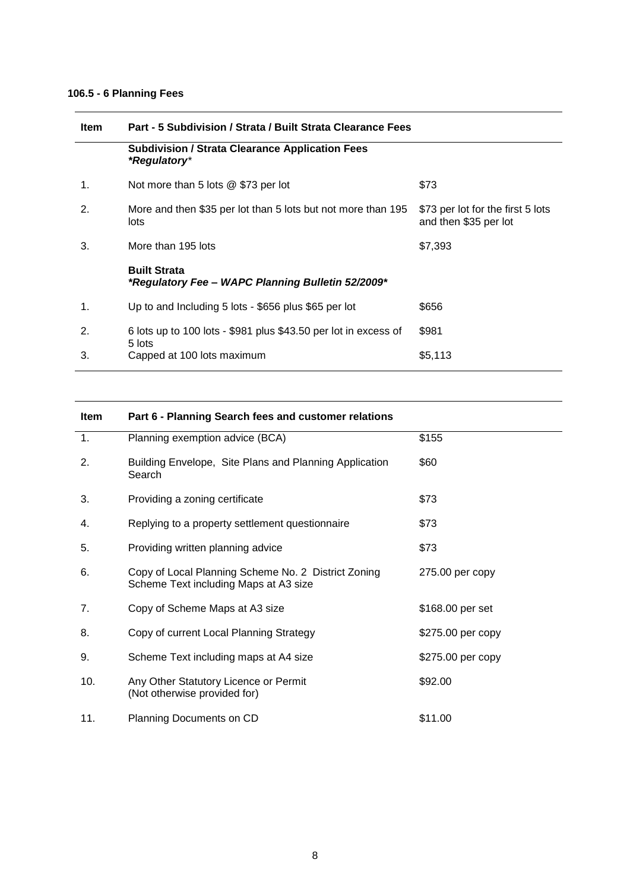## **106.5 - 6 Planning Fees**

| <b>Item</b>   | Part - 5 Subdivision / Strata / Built Strata Clearance Fees                          |                                                            |  |
|---------------|--------------------------------------------------------------------------------------|------------------------------------------------------------|--|
|               | <b>Subdivision / Strata Clearance Application Fees</b><br><i><b>*Regulatory*</b></i> |                                                            |  |
| $\mathbf 1$ . | Not more than 5 lots @ \$73 per lot                                                  | \$73                                                       |  |
| 2.            | More and then \$35 per lot than 5 lots but not more than 195<br>lots                 | \$73 per lot for the first 5 lots<br>and then \$35 per lot |  |
| 3.            | More than 195 lots                                                                   | \$7,393                                                    |  |
|               | <b>Built Strata</b><br>*Regulatory Fee - WAPC Planning Bulletin 52/2009*             |                                                            |  |
| $\mathbf 1$ . | Up to and Including 5 lots - \$656 plus \$65 per lot                                 | \$656                                                      |  |
| 2.            | 6 lots up to 100 lots - \$981 plus \$43.50 per lot in excess of                      | \$981                                                      |  |
| 3.            | 5 lots<br>Capped at 100 lots maximum                                                 | \$5,113                                                    |  |

| Item | Part 6 - Planning Search fees and customer relations                                         |                   |
|------|----------------------------------------------------------------------------------------------|-------------------|
| 1.   | Planning exemption advice (BCA)                                                              | \$155             |
| 2.   | Building Envelope, Site Plans and Planning Application<br>Search                             | \$60              |
| 3.   | Providing a zoning certificate                                                               | \$73              |
| 4.   | Replying to a property settlement questionnaire                                              | \$73              |
| 5.   | Providing written planning advice                                                            | \$73              |
| 6.   | Copy of Local Planning Scheme No. 2 District Zoning<br>Scheme Text including Maps at A3 size | 275.00 per copy   |
| 7.   | Copy of Scheme Maps at A3 size                                                               | \$168.00 per set  |
| 8.   | Copy of current Local Planning Strategy                                                      | \$275.00 per copy |
| 9.   | Scheme Text including maps at A4 size                                                        | \$275.00 per copy |
| 10.  | Any Other Statutory Licence or Permit<br>(Not otherwise provided for)                        | \$92.00           |
| 11.  | Planning Documents on CD                                                                     | \$11.00           |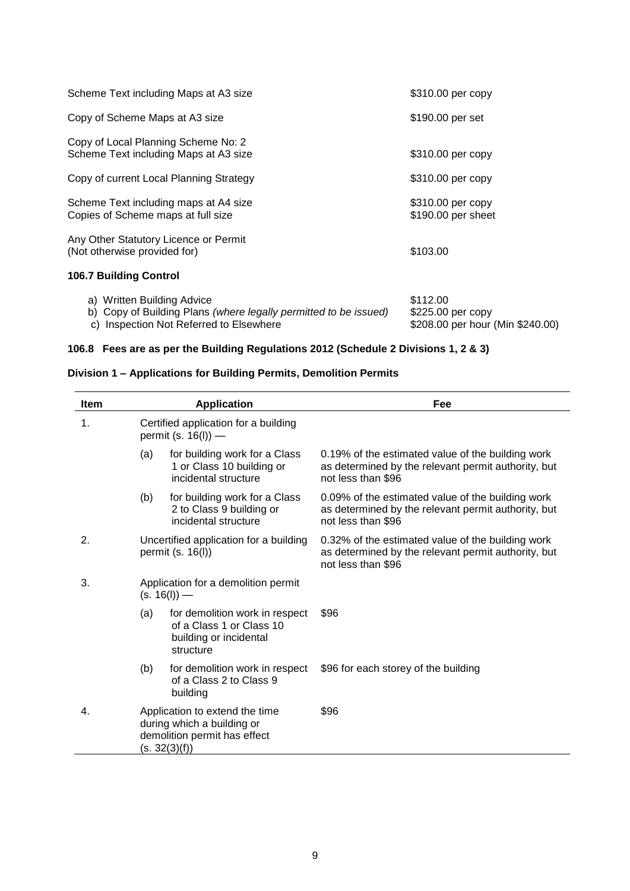| Scheme Text including Maps at A3 size                                                          | \$310.00 per copy                       |
|------------------------------------------------------------------------------------------------|-----------------------------------------|
| Copy of Scheme Maps at A3 size                                                                 | \$190.00 per set                        |
| Copy of Local Planning Scheme No: 2<br>Scheme Text including Maps at A3 size                   | \$310.00 per copy                       |
| Copy of current Local Planning Strategy                                                        | \$310.00 per copy                       |
| Scheme Text including maps at A4 size<br>Copies of Scheme maps at full size                    | \$310.00 per copy<br>\$190.00 per sheet |
| Any Other Statutory Licence or Permit<br>(Not otherwise provided for)                          | \$103.00                                |
| <b>106.7 Building Control</b>                                                                  |                                         |
| a) Written Building Advice<br>b) Copy of Building Plans (where legally permitted to be issued) | \$112.00<br>\$225.00 per copy           |

c) Inspection Not Referred to Elsewhere \$208.00 per hour (Min \$240.00)

## **106.8 Fees are as per the Building Regulations 2012 (Schedule 2 Divisions 1, 2 & 3)**

## **Division 1 – Applications for Building Permits, Demolition Permits**

| <b>Item</b> |     | <b>Application</b>                                                                                            | Fee                                                                                                                            |
|-------------|-----|---------------------------------------------------------------------------------------------------------------|--------------------------------------------------------------------------------------------------------------------------------|
| 1.          |     | Certified application for a building<br>permit (s. $16(1)$ ) —                                                |                                                                                                                                |
|             | (a) | for building work for a Class<br>1 or Class 10 building or<br>incidental structure                            | 0.19% of the estimated value of the building work<br>as determined by the relevant permit authority, but<br>not less than \$96 |
|             | (b) | for building work for a Class<br>2 to Class 9 building or<br>incidental structure                             | 0.09% of the estimated value of the building work<br>as determined by the relevant permit authority, but<br>not less than \$96 |
| 2.          |     | Uncertified application for a building<br>permit (s. 16(l))                                                   | 0.32% of the estimated value of the building work<br>as determined by the relevant permit authority, but<br>not less than \$96 |
| 3.          |     | Application for a demolition permit<br>$(s. 16(l))$ —                                                         |                                                                                                                                |
|             | (a) | for demolition work in respect<br>of a Class 1 or Class 10<br>building or incidental<br>structure             | \$96                                                                                                                           |
|             | (b) | for demolition work in respect<br>of a Class 2 to Class 9<br>building                                         | \$96 for each storey of the building                                                                                           |
| 4.          |     | Application to extend the time<br>during which a building or<br>demolition permit has effect<br>(s. 32(3)(f)) | \$96                                                                                                                           |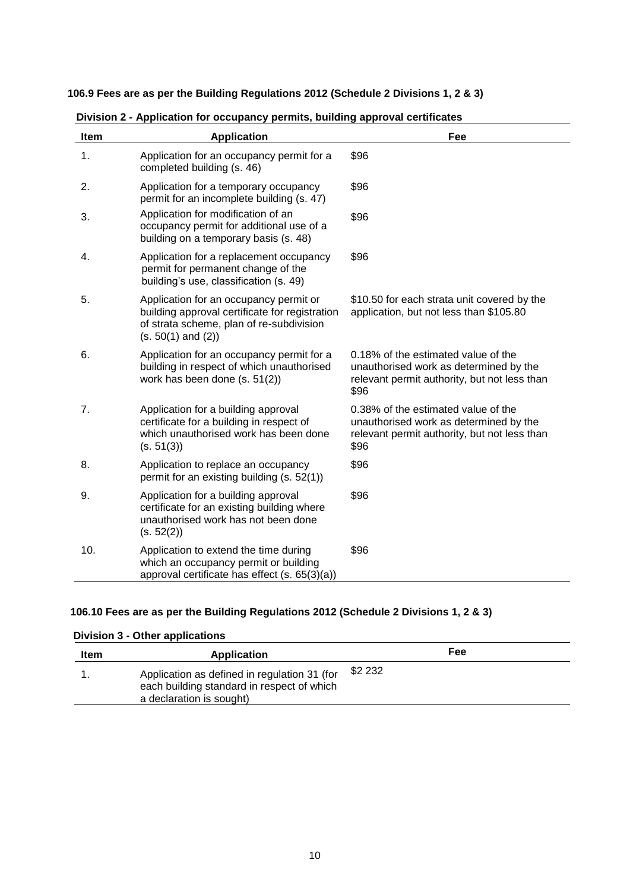**106.9 Fees are as per the Building Regulations 2012 (Schedule 2 Divisions 1, 2 & 3)**

| <b>Item</b> | <b>Application</b>                                                                                                                                             | Fee                                                                                                                                   |
|-------------|----------------------------------------------------------------------------------------------------------------------------------------------------------------|---------------------------------------------------------------------------------------------------------------------------------------|
| 1.          | Application for an occupancy permit for a<br>completed building (s. 46)                                                                                        | \$96                                                                                                                                  |
| 2.          | Application for a temporary occupancy<br>permit for an incomplete building (s. 47)                                                                             | \$96                                                                                                                                  |
| 3.          | Application for modification of an<br>occupancy permit for additional use of a<br>building on a temporary basis (s. 48)                                        | \$96                                                                                                                                  |
| 4.          | Application for a replacement occupancy<br>permit for permanent change of the<br>building's use, classification (s. 49)                                        | \$96                                                                                                                                  |
| 5.          | Application for an occupancy permit or<br>building approval certificate for registration<br>of strata scheme, plan of re-subdivision<br>$(s. 50(1)$ and $(2))$ | \$10.50 for each strata unit covered by the<br>application, but not less than \$105.80                                                |
| 6.          | Application for an occupancy permit for a<br>building in respect of which unauthorised<br>work has been done (s. 51(2))                                        | 0.18% of the estimated value of the<br>unauthorised work as determined by the<br>relevant permit authority, but not less than<br>\$96 |
| 7.          | Application for a building approval<br>certificate for a building in respect of<br>which unauthorised work has been done<br>(s. 51(3))                         | 0.38% of the estimated value of the<br>unauthorised work as determined by the<br>relevant permit authority, but not less than<br>\$96 |
| 8.          | Application to replace an occupancy<br>permit for an existing building (s. 52(1))                                                                              | \$96                                                                                                                                  |
| 9.          | Application for a building approval<br>certificate for an existing building where<br>unauthorised work has not been done<br>(s. 52(2))                         | \$96                                                                                                                                  |
| 10.         | Application to extend the time during<br>which an occupancy permit or building<br>approval certificate has effect (s. 65(3)(a))                                | \$96                                                                                                                                  |

 **Division 2 - Application for occupancy permits, building approval certificates**

## **106.10 Fees are as per the Building Regulations 2012 (Schedule 2 Divisions 1, 2 & 3)**

## **Division 3 - Other applications**

| Item | <b>Application</b>                                                                                                     |         | Fee |  |
|------|------------------------------------------------------------------------------------------------------------------------|---------|-----|--|
|      | Application as defined in regulation 31 (for<br>each building standard in respect of which<br>a declaration is sought) | \$2 232 |     |  |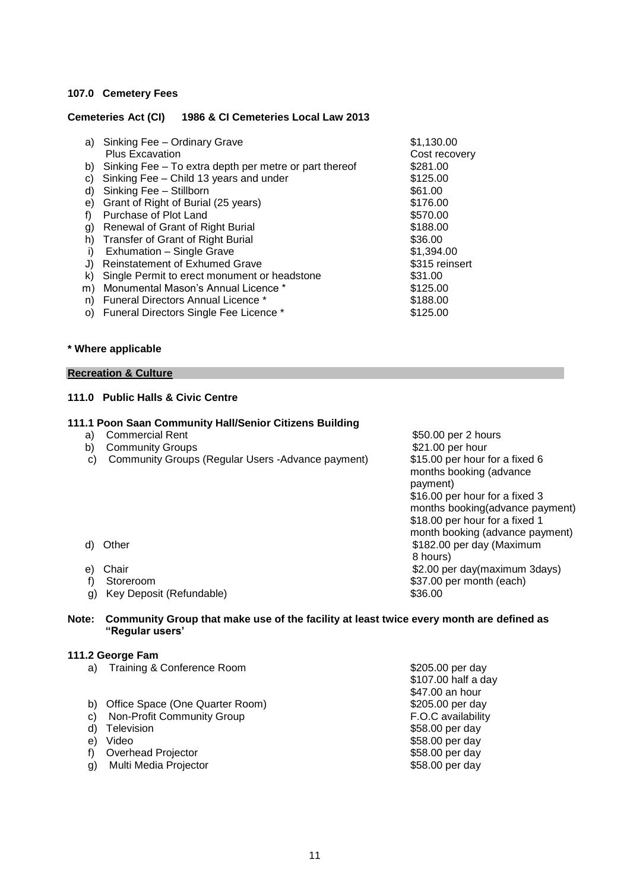## **107.0 Cemetery Fees**

## **Cemeteries Act (CI) 1986 & CI Cemeteries Local Law 2013**

|    | a) Sinking Fee - Ordinary Grave                        | \$1,130.00     |
|----|--------------------------------------------------------|----------------|
|    | <b>Plus Excavation</b>                                 | Cost recovery  |
| b) | Sinking Fee – To extra depth per metre or part thereof | \$281.00       |
| C) | Sinking Fee - Child 13 years and under                 | \$125.00       |
| d) | Sinking Fee - Stillborn                                | \$61.00        |
| e) | Grant of Right of Burial (25 years)                    | \$176.00       |
| f) | Purchase of Plot Land                                  | \$570.00       |
| g) | Renewal of Grant of Right Burial                       | \$188.00       |
| h) | Transfer of Grant of Right Burial                      | \$36.00        |
| i) | Exhumation - Single Grave                              | \$1,394.00     |
| J) | <b>Reinstatement of Exhumed Grave</b>                  | \$315 reinsert |
| k) | Single Permit to erect monument or headstone           | \$31.00        |
| m) | Monumental Mason's Annual Licence *                    | \$125.00       |
| n) | <b>Funeral Directors Annual Licence *</b>              | \$188.00       |
| O) | Funeral Directors Single Fee Licence *                 | \$125.00       |
|    |                                                        |                |

#### **\* Where applicable**

## **Recreation & Culture**

## **111.0 Public Halls & Civic Centre**

## **111.1 Poon Saan Community Hall/Senior Citizens Building**

- 
- 
- b) Community Groups<br>
c) Community Groups (Regular Users -Advance payment) \$15.00 per hour for a fixed 6 c) Community Groups (Regular Users -Advance payment)

a) Commercial Rent  $$50.00$  per 2 hours<br>b) Community Groups  $$21.00$  per hour months booking (advance payment) \$16.00 per hour for a fixed 3 months booking(advance payment) \$18.00 per hour for a fixed 1 month booking (advance payment) d) Other \$182.00 per day (Maximum 8 hours) e) Chair **business and the contract of the Chair**  $\frac{1}{2}$  (contract of the S2.00 per day(maximum 3days) f) Storeroom  $$37.00$  per month (each)

- 
- 
- 
- g) Key Deposit (Refundable) \$36.00

## **Note: Community Group that make use of the facility at least twice every month are defined as "Regular users'**

#### **111.2 George Fam**

- a) Training & Conference Room **\$205.00 per day**
- b) Office Space (One Quarter Room)  $$205.00 \text{ per day}$
- 
- 
- 
- 
- g) Multi Media Projector

\$107.00 half a day \$47.00 an hour c) Non-Profit Community Group<br>
d) Television 558.00 per day d) Television \$58.00 per day \$58.00 per day f) Overhead Projector <br>
g) Multi Media Projector <br>
g) Multi Media Projector <br>
s58.00 per day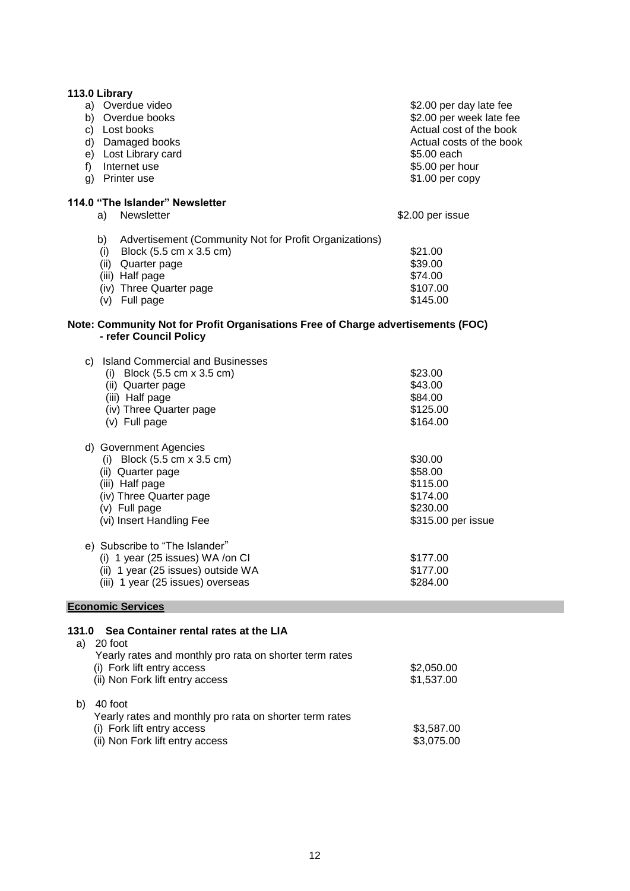| 113.0 Library                                                                                              |                          |
|------------------------------------------------------------------------------------------------------------|--------------------------|
| a) Overdue video                                                                                           | \$2.00 per day late fee  |
| b) Overdue books                                                                                           | \$2.00 per week late fee |
| c) Lost books                                                                                              | Actual cost of the book  |
| d) Damaged books                                                                                           | Actual costs of the book |
| e) Lost Library card                                                                                       | \$5.00 each              |
| f) Internet use                                                                                            | \$5.00 per hour          |
| g) Printer use                                                                                             | \$1.00 per copy          |
| 114.0 "The Islander" Newsletter                                                                            |                          |
| Newsletter<br>a)                                                                                           | \$2.00 per issue         |
| Advertisement (Community Not for Profit Organizations)<br>b)                                               |                          |
| (i) Block $(5.5 \text{ cm} \times 3.5 \text{ cm})$                                                         | \$21.00                  |
| (ii) Quarter page                                                                                          | \$39.00                  |
| (iii) Half page                                                                                            | \$74.00                  |
| (iv) Three Quarter page                                                                                    | \$107.00                 |
| (v) Full page                                                                                              | \$145.00                 |
| Note: Community Not for Profit Organisations Free of Charge advertisements (FOC)<br>- refer Council Policy |                          |
| c) Island Commercial and Businesses                                                                        |                          |
| (i) Block $(5.5 \text{ cm} \times 3.5 \text{ cm})$                                                         | \$23.00                  |
| (ii) Quarter page                                                                                          | \$43.00                  |
| (iii) Half page                                                                                            | \$84.00                  |
| (iv) Three Quarter page                                                                                    | \$125.00                 |
| (v) Full page                                                                                              | \$164.00                 |
|                                                                                                            |                          |
| d) Government Agencies                                                                                     |                          |
| (i) Block $(5.5 \text{ cm} \times 3.5 \text{ cm})$                                                         | \$30.00                  |
| (ii) Quarter page                                                                                          | \$58.00                  |
| (iii) Half page                                                                                            | \$115.00                 |
| (iv) Three Quarter page                                                                                    | \$174.00                 |
| (v) Full page                                                                                              | \$230.00                 |
| (vi) Insert Handling Fee                                                                                   | \$315.00 per issue       |
| e) Subscribe to "The Islander"                                                                             |                          |
| (i) 1 year (25 issues) WA /on CI                                                                           | \$177.00                 |
| (ii) 1 year (25 issues) outside WA                                                                         | \$177.00                 |
| (iii) 1 year (25 issues) overseas                                                                          | \$284.00                 |
|                                                                                                            |                          |

## **Economic Services**

## **131.0 Sea Container rental rates at the LIA**

| a | 20 foot<br>Yearly rates and monthly pro rata on shorter term rates<br>(i) Fork lift entry access<br>(ii) Non Fork lift entry access | \$2,050.00<br>\$1,537.00 |
|---|-------------------------------------------------------------------------------------------------------------------------------------|--------------------------|
|   | 40 foot<br>Yearly rates and monthly pro rata on shorter term rates<br>(i) Fork lift entry access<br>(ii) Non Fork lift entry access | \$3,587.00<br>\$3,075.00 |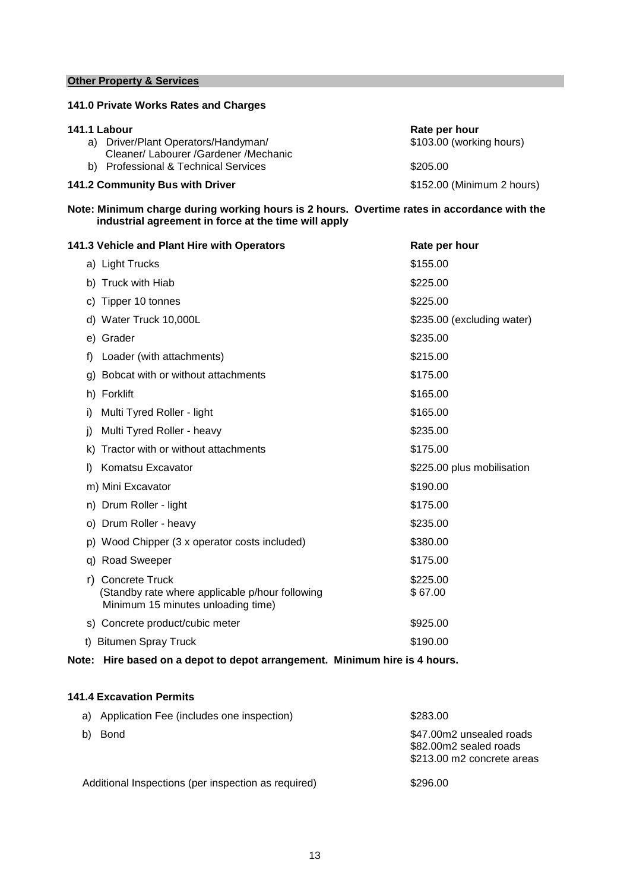## **Other Property & Services**

## **141.0 Private Works Rates and Charges**

| 141.1 Labour                            | Rate per hour              |
|-----------------------------------------|----------------------------|
| a) Driver/Plant Operators/Handyman/     | \$103.00 (working hours)   |
| Cleaner/ Labourer / Gardener / Mechanic |                            |
| b) Professional & Technical Services    | \$205.00                   |
| 141.2 Community Bus with Driver         | \$152.00 (Minimum 2 hours) |

**Note: Minimum charge during working hours is 2 hours. Overtime rates in accordance with the industrial agreement in force at the time will apply** 

| 141.3 Vehicle and Plant Hire with Operators                                                                | Rate per hour              |
|------------------------------------------------------------------------------------------------------------|----------------------------|
| a) Light Trucks                                                                                            | \$155.00                   |
| b) Truck with Hiab                                                                                         | \$225.00                   |
| c) Tipper 10 tonnes                                                                                        | \$225.00                   |
| d) Water Truck 10,000L                                                                                     | \$235.00 (excluding water) |
| e) Grader                                                                                                  | \$235.00                   |
| Loader (with attachments)<br>f)                                                                            | \$215.00                   |
| g) Bobcat with or without attachments                                                                      | \$175.00                   |
| h) Forklift                                                                                                | \$165.00                   |
| Multi Tyred Roller - light<br>i)                                                                           | \$165.00                   |
| Multi Tyred Roller - heavy<br>j)                                                                           | \$235.00                   |
| Tractor with or without attachments<br>k)                                                                  | \$175.00                   |
| Komatsu Excavator<br>D.                                                                                    | \$225.00 plus mobilisation |
| m) Mini Excavator                                                                                          | \$190.00                   |
| n) Drum Roller - light                                                                                     | \$175.00                   |
| o) Drum Roller - heavy                                                                                     | \$235.00                   |
| p) Wood Chipper (3 x operator costs included)                                                              | \$380.00                   |
| q) Road Sweeper                                                                                            | \$175.00                   |
| r) Concrete Truck<br>(Standby rate where applicable p/hour following<br>Minimum 15 minutes unloading time) | \$225.00<br>\$67.00        |
| s) Concrete product/cubic meter                                                                            | \$925.00                   |
| t) Bitumen Spray Truck                                                                                     | \$190.00                   |

## **Note: Hire based on a depot to depot arrangement. Minimum hire is 4 hours.**

## **141.4 Excavation Permits**

| a) Application Fee (includes one inspection)        | \$283.00                                                                         |
|-----------------------------------------------------|----------------------------------------------------------------------------------|
| Bond<br>b)                                          | \$47.00m2 unsealed roads<br>\$82.00m2 sealed roads<br>\$213,00 m2 concrete areas |
| Additional Inspections (per inspection as required) | \$296.00                                                                         |